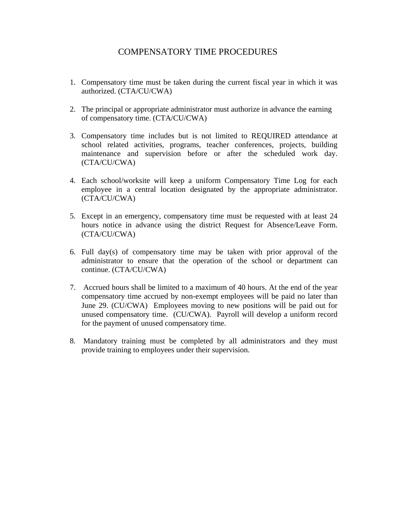# COMPENSATORY TIME PROCEDURES

- 1. Compensatory time must be taken during the current fiscal year in which it was authorized. (CTA/CU/CWA)
- 2. The principal or appropriate administrator must authorize in advance the earning of compensatory time. (CTA/CU/CWA)
- 3. Compensatory time includes but is not limited to REQUIRED attendance at school related activities, programs, teacher conferences, projects, building maintenance and supervision before or after the scheduled work day. (CTA/CU/CWA)
- 4. Each school/worksite will keep a uniform Compensatory Time Log for each employee in a central location designated by the appropriate administrator. (CTA/CU/CWA)
- 5. Except in an emergency, compensatory time must be requested with at least 24 hours notice in advance using the district Request for Absence/Leave Form. (CTA/CU/CWA)
- 6. Full day(s) of compensatory time may be taken with prior approval of the administrator to ensure that the operation of the school or department can continue. (CTA/CU/CWA)
- 7. Accrued hours shall be limited to a maximum of 40 hours. At the end of the year compensatory time accrued by non-exempt employees will be paid no later than June 29. (CU/CWA) Employees moving to new positions will be paid out for unused compensatory time. (CU/CWA). Payroll will develop a uniform record for the payment of unused compensatory time.
- 8. Mandatory training must be completed by all administrators and they must provide training to employees under their supervision.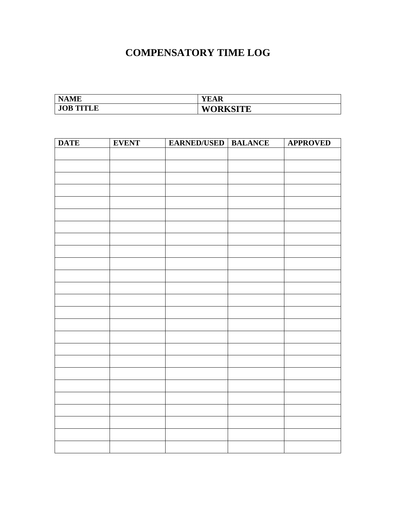# **COMPENSATORY TIME LOG**

| <b>NAME</b>      | YEAR            |
|------------------|-----------------|
| <b>JOB TITLE</b> | <b>WORKSITE</b> |

| <b>DATE</b> | <b>EVENT</b> | <b>EARNED/USED   BALANCE</b> | <b>APPROVED</b> |
|-------------|--------------|------------------------------|-----------------|
|             |              |                              |                 |
|             |              |                              |                 |
|             |              |                              |                 |
|             |              |                              |                 |
|             |              |                              |                 |
|             |              |                              |                 |
|             |              |                              |                 |
|             |              |                              |                 |
|             |              |                              |                 |
|             |              |                              |                 |
|             |              |                              |                 |
|             |              |                              |                 |
|             |              |                              |                 |
|             |              |                              |                 |
|             |              |                              |                 |
|             |              |                              |                 |
|             |              |                              |                 |
|             |              |                              |                 |
|             |              |                              |                 |
|             |              |                              |                 |
|             |              |                              |                 |
|             |              |                              |                 |
|             |              |                              |                 |
|             |              |                              |                 |
|             |              |                              |                 |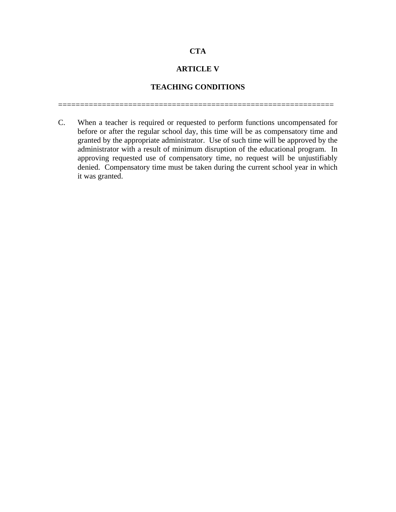# **CTA**

# **ARTICLE V**

# **TEACHING CONDITIONS**

===============================================================

C. When a teacher is required or requested to perform functions uncompensated for before or after the regular school day, this time will be as compensatory time and granted by the appropriate administrator. Use of such time will be approved by the administrator with a result of minimum disruption of the educational program. In approving requested use of compensatory time, no request will be unjustifiably denied. Compensatory time must be taken during the current school year in which it was granted.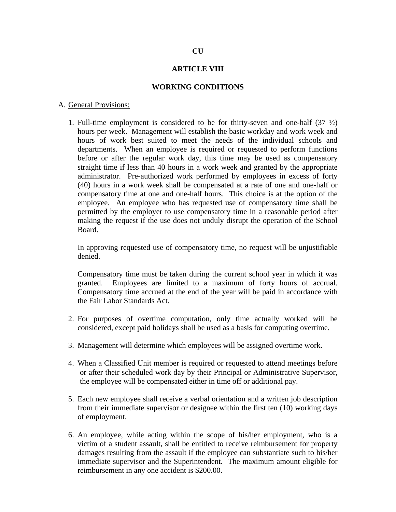## **ARTICLE VIII**

#### **WORKING CONDITIONS**

#### A. General Provisions:

1. Full-time employment is considered to be for thirty-seven and one-half  $(37 \frac{1}{2})$ hours per week. Management will establish the basic workday and work week and hours of work best suited to meet the needs of the individual schools and departments. When an employee is required or requested to perform functions before or after the regular work day, this time may be used as compensatory straight time if less than 40 hours in a work week and granted by the appropriate administrator. Pre-authorized work performed by employees in excess of forty (40) hours in a work week shall be compensated at a rate of one and one-half or compensatory time at one and one-half hours. This choice is at the option of the employee. An employee who has requested use of compensatory time shall be permitted by the employer to use compensatory time in a reasonable period after making the request if the use does not unduly disrupt the operation of the School Board.

In approving requested use of compensatory time, no request will be unjustifiable denied.

Compensatory time must be taken during the current school year in which it was granted. Employees are limited to a maximum of forty hours of accrual. Compensatory time accrued at the end of the year will be paid in accordance with the Fair Labor Standards Act.

- 2. For purposes of overtime computation, only time actually worked will be considered, except paid holidays shall be used as a basis for computing overtime.
- 3. Management will determine which employees will be assigned overtime work.
- 4. When a Classified Unit member is required or requested to attend meetings before or after their scheduled work day by their Principal or Administrative Supervisor, the employee will be compensated either in time off or additional pay.
- 5. Each new employee shall receive a verbal orientation and a written job description from their immediate supervisor or designee within the first ten (10) working days of employment.
- 6. An employee, while acting within the scope of his/her employment, who is a victim of a student assault, shall be entitled to receive reimbursement for property damages resulting from the assault if the employee can substantiate such to his/her immediate supervisor and the Superintendent. The maximum amount eligible for reimbursement in any one accident is \$200.00.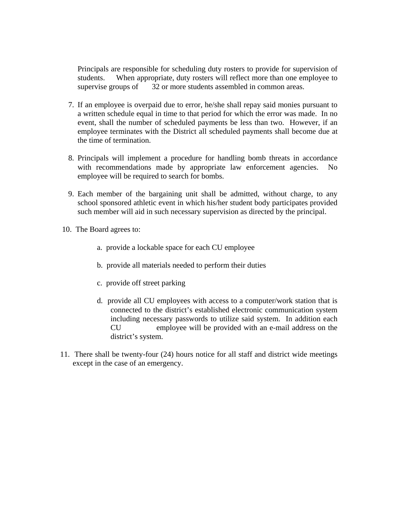Principals are responsible for scheduling duty rosters to provide for supervision of students. When appropriate, duty rosters will reflect more than one employee to supervise groups of 32 or more students assembled in common areas.

- 7. If an employee is overpaid due to error, he/she shall repay said monies pursuant to a written schedule equal in time to that period for which the error was made. In no event, shall the number of scheduled payments be less than two. However, if an employee terminates with the District all scheduled payments shall become due at the time of termination.
- 8. Principals will implement a procedure for handling bomb threats in accordance with recommendations made by appropriate law enforcement agencies. No employee will be required to search for bombs.
- 9. Each member of the bargaining unit shall be admitted, without charge, to any school sponsored athletic event in which his/her student body participates provided such member will aid in such necessary supervision as directed by the principal.
- 10. The Board agrees to:
	- a. provide a lockable space for each CU employee
	- b. provide all materials needed to perform their duties
	- c. provide off street parking
	- d. provide all CU employees with access to a computer/work station that is connected to the district's established electronic communication system including necessary passwords to utilize said system. In addition each CU employee will be provided with an e-mail address on the district's system.
- 11. There shall be twenty-four (24) hours notice for all staff and district wide meetings except in the case of an emergency.